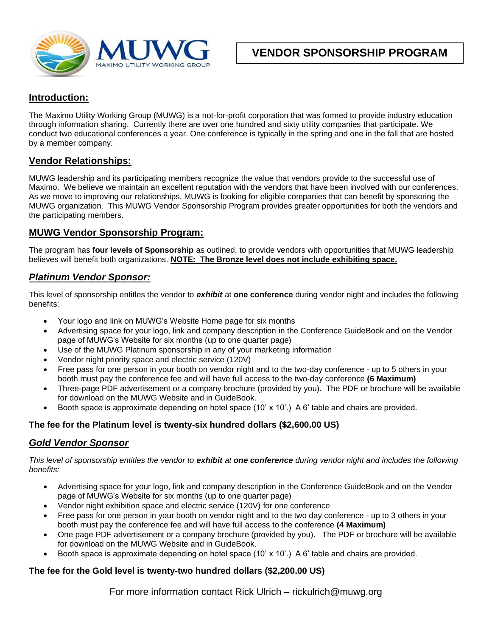

# **Introduction:**

The Maximo Utility Working Group (MUWG) is a not-for-profit corporation that was formed to provide industry education through information sharing. Currently there are over one hundred and sixty utility companies that participate. We conduct two educational conferences a year. One conference is typically in the spring and one in the fall that are hosted by a member company.

# **Vendor Relationships:**

MUWG leadership and its participating members recognize the value that vendors provide to the successful use of Maximo. We believe we maintain an excellent reputation with the vendors that have been involved with our conferences. As we move to improving our relationships, MUWG is looking for eligible companies that can benefit by sponsoring the MUWG organization. This MUWG Vendor Sponsorship Program provides greater opportunities for both the vendors and the participating members.

# **MUWG Vendor Sponsorship Program:**

The program has **four levels of Sponsorship** as outlined, to provide vendors with opportunities that MUWG leadership believes will benefit both organizations. **NOTE: The Bronze level does not include exhibiting space.**

## *Platinum Vendor Sponsor:*

This level of sponsorship entitles the vendor to *exhibit* at **one conference** during vendor night and includes the following benefits:

- Your logo and link on MUWG's Website Home page for six months
- Advertising space for your logo, link and company description in the Conference GuideBook and on the Vendor page of MUWG's Website for six months (up to one quarter page)
- Use of the MUWG Platinum sponsorship in any of your marketing information
- Vendor night priority space and electric service (120V)
- Free pass for one person in your booth on vendor night and to the two-day conference up to 5 others in your booth must pay the conference fee and will have full access to the two-day conference **(6 Maximum)**
- Three-page PDF advertisement or a company brochure (provided by you). The PDF or brochure will be available for download on the MUWG Website and in GuideBook.
- Booth space is approximate depending on hotel space (10' x 10'.) A 6' table and chairs are provided.

## **The fee for the Platinum level is twenty-six hundred dollars (\$2,600.00 US)**

#### *Gold Vendor Sponsor*

*This level of sponsorship entitles the vendor to exhibit at one conference during vendor night and includes the following benefits:*

- Advertising space for your logo, link and company description in the Conference GuideBook and on the Vendor page of MUWG's Website for six months (up to one quarter page)
- Vendor night exhibition space and electric service (120V) for one conference
- Free pass for one person in your booth on vendor night and to the two day conference up to 3 others in your booth must pay the conference fee and will have full access to the conference **(4 Maximum)**
- One page PDF advertisement or a company brochure (provided by you). The PDF or brochure will be available for download on the MUWG Website and in GuideBook.
- Booth space is approximate depending on hotel space (10' x 10'.) A 6' table and chairs are provided.

#### **The fee for the Gold level is twenty-two hundred dollars (\$2,200.00 US)**

For more information contact Rick Ulrich – rickulrich@muwg.org